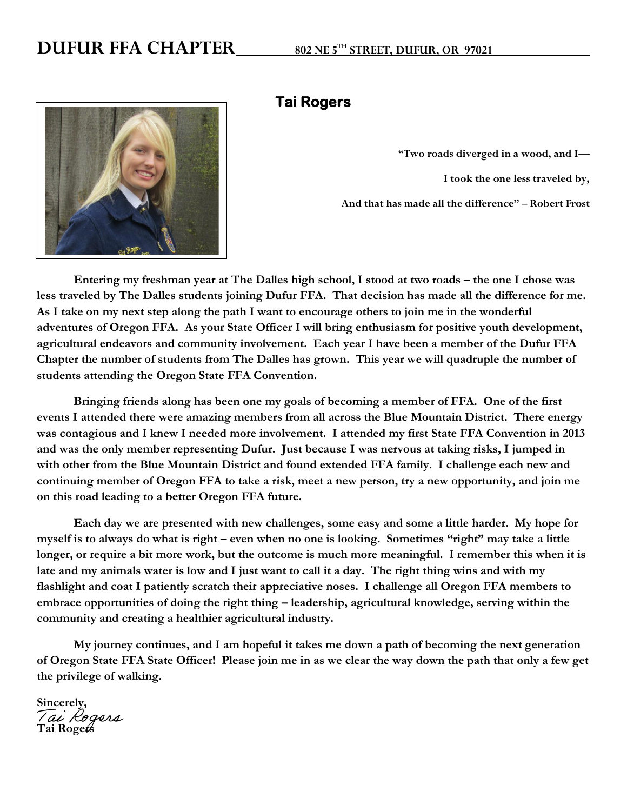# **DUFUR FFA CHAPTER 802 NE 5TH STREET, DUFUR, OR 97021**



# **Tai Rogers**

**"Two roads diverged in a wood, and I— I took the one less traveled by, And that has made all the difference" – Robert Frost** 

**Entering my freshman year at The Dalles high school, I stood at two roads – the one I chose was less traveled by The Dalles students joining Dufur FFA. That decision has made all the difference for me. As I take on my next step along the path I want to encourage others to join me in the wonderful adventures of Oregon FFA. As your State Officer I will bring enthusiasm for positive youth development, agricultural endeavors and community involvement. Each year I have been a member of the Dufur FFA Chapter the number of students from The Dalles has grown. This year we will quadruple the number of students attending the Oregon State FFA Convention.**

**Bringing friends along has been one my goals of becoming a member of FFA. One of the first events I attended there were amazing members from all across the Blue Mountain District. There energy was contagious and I knew I needed more involvement. I attended my first State FFA Convention in 2013 and was the only member representing Dufur. Just because I was nervous at taking risks, I jumped in with other from the Blue Mountain District and found extended FFA family. I challenge each new and continuing member of Oregon FFA to take a risk, meet a new person, try a new opportunity, and join me on this road leading to a better Oregon FFA future.**

**Each day we are presented with new challenges, some easy and some a little harder. My hope for myself is to always do what is right – even when no one is looking. Sometimes "right" may take a little longer, or require a bit more work, but the outcome is much more meaningful. I remember this when it is late and my animals water is low and I just want to call it a day. The right thing wins and with my flashlight and coat I patiently scratch their appreciative noses. I challenge all Oregon FFA members to embrace opportunities of doing the right thing – leadership, agricultural knowledge, serving within the community and creating a healthier agricultural industry.** 

**My journey continues, and I am hopeful it takes me down a path of becoming the next generation of Oregon State FFA State Officer! Please join me in as we clear the way down the path that only a few get the privilege of walking.**

**Sincerely, Tai Rogers** Tai Rogers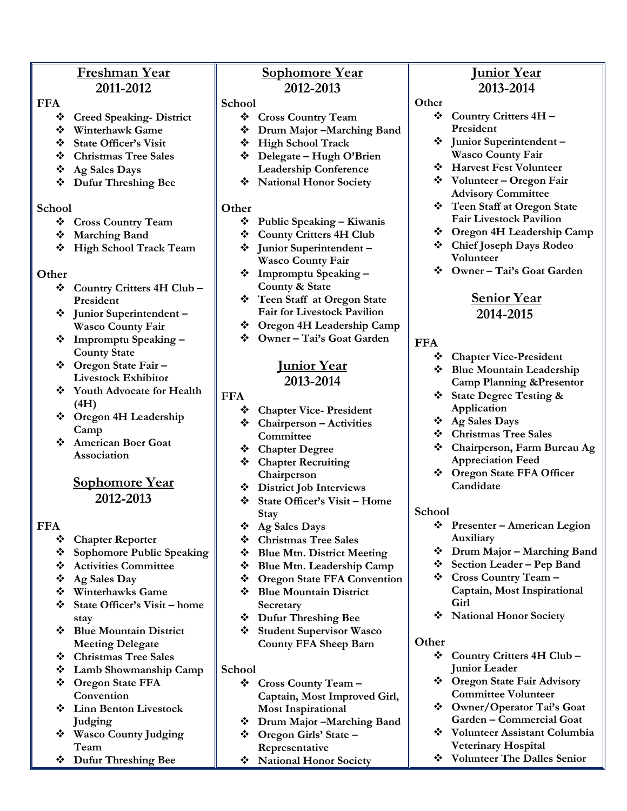# **Freshman Year 2011-2012**

#### **FFA**

- **Creed Speaking- District**
- **Winterhawk Game**
- **State Officer's Visit**
- **Christmas Tree Sales**
- **Ag Sales Days**
- **Dufur Threshing Bee**

#### **School**

- **Cross Country Team**
- **Marching Band**
- **High School Track Team**

### **Other**

- **Country Critters 4H Club – President**
- **Junior Superintendent – Wasco County Fair**
- **Impromptu Speaking – County State**
- **Oregon State Fair – Livestock Exhibitor**
- **Youth Advocate for Health (4H)**
- **Oregon 4H Leadership Camp**
- **American Boer Goat Association**

# **Sophomore Year 2012-2013**

# **FFA**

- **Chapter Reporter**
- **Sophomore Public Speaking**
- **Activities Committee**
- **Ag Sales Day**
- **Winterhawks Game**
- **State Officer's Visit – home stay**
- **Blue Mountain District Meeting Delegate**
- **Christmas Tree Sales**
- **Lamb Showmanship Camp**
- **Oregon State FFA Convention**
- **Linn Benton Livestock Judging**
- **Wasco County Judging Team**
- **Dufur Threshing Bee**

# **Sophomore Year 2012-2013**

#### **School**

- **Cross Country Team**
- **Drum Major –Marching Band**
- **High School Track**
- **Delegate – Hugh O'Brien Leadership Conference**
- **National Honor Society**

### **Other**

- **Public Speaking – Kiwanis**
- **County Critters 4H Club**
- **Junior Superintendent – Wasco County Fair**
- **Impromptu Speaking – County & State**
- **Teen Staff at Oregon State Fair for Livestock Pavilion**
- **Oregon 4H Leadership Camp**
- **Owner – Tai's Goat Garden**

# **Junior Year 2013-2014**

- **FFA**
	- **Chapter Vice- President**
	- **Chairperson – Activities Committee**
	- **Chapter Degree**
	- **Chapter Recruiting Chairperson**
	- **District Job Interviews**
	- **State Officer's Visit – Home Stay**
	- **Ag Sales Days**
	- **Christmas Tree Sales**
	- **Blue Mtn. District Meeting**
	- **Blue Mtn. Leadership Camp**
	- **Oregon State FFA Convention**
	- **Blue Mountain District Secretary**
	- **Dufur Threshing Bee**
	- **Student Supervisor Wasco County FFA Sheep Barn**

#### **School**

- **Cross County Team – Captain, Most Improved Girl, Most Inspirational**
- **Drum Major –Marching Band**
- **Oregon Girls' State – Representative**
- **National Honor Society**

# **Junior Year 2013-2014**

#### **Other**

- **Country Critters 4H – President**
- **Junior Superintendent – Wasco County Fair**
- **Harvest Fest Volunteer**
- **Volunteer – Oregon Fair Advisory Committee**
- **Teen Staff at Oregon State Fair Livestock Pavilion**
- **Oregon 4H Leadership Camp**
- **Chief Joseph Days Rodeo Volunteer**
- **Owner – Tai's Goat Garden**

# **Senior Year 2014-2015**

#### **FFA**

- **Chapter Vice-President**
- **Blue Mountain Leadership Camp Planning &Presentor**
- **State Degree Testing & Application**
- **Ag Sales Days**
- **Christmas Tree Sales**
- **Chairperson, Farm Bureau Ag Appreciation Feed**
- **Oregon State FFA Officer Candidate**

#### **School**

- **Presenter – American Legion Auxiliary**
- **Drum Major – Marching Band**
- **Section Leader – Pep Band**
- **Cross Country Team – Captain, Most Inspirational Girl**
- **National Honor Society**

# **Other**

- **Country Critters 4H Club – Junior Leader**
- **Oregon State Fair Advisory Committee Volunteer**
- **Owner/Operator Tai's Goat Garden – Commercial Goat**

 **Volunteer Assistant Columbia Veterinary Hospital Volunteer The Dalles Senior**